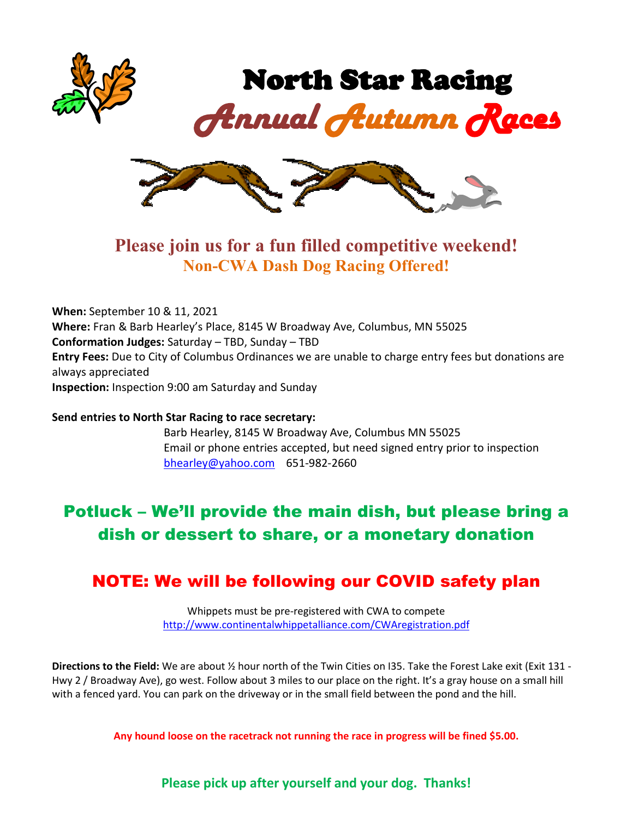

### **Please join us for a fun filled competitive weekend! Non-CWA Dash Dog Racing Offered!**

**When:** September 10 & 11, 2021 **Where:** Fran & Barb Hearley's Place, 8145 W Broadway Ave, Columbus, MN 55025 **Conformation Judges:** Saturday – TBD, Sunday – TBD **Entry Fees:** Due to City of Columbus Ordinances we are unable to charge entry fees but donations are always appreciated **Inspection:** Inspection 9:00 am Saturday and Sunday

**Send entries to North Star Racing to race secretary:**

Barb Hearley, 8145 W Broadway Ave, Columbus MN 55025 Email or phone entries accepted, but need signed entry prior to inspection [bhearley@yahoo.com](mailto:bhearley@yahoo.com) 651-982-2660

# Potluck – We'll provide the main dish, but please bring a dish or dessert to share, or a monetary donation

#### NOTE: We will be following our COVID safety plan

Whippets must be pre-registered with CWA to compete <http://www.continentalwhippetalliance.com/CWAregistration.pdf>

**Directions to the Field:** We are about ½ hour north of the Twin Cities on I35. Take the Forest Lake exit (Exit 131 - Hwy 2 / Broadway Ave), go west. Follow about 3 miles to our place on the right. It's a gray house on a small hill with a fenced yard. You can park on the driveway or in the small field between the pond and the hill.

**Any hound loose on the racetrack not running the race in progress will be fined \$5.00.**

**Please pick up after yourself and your dog. Thanks!**